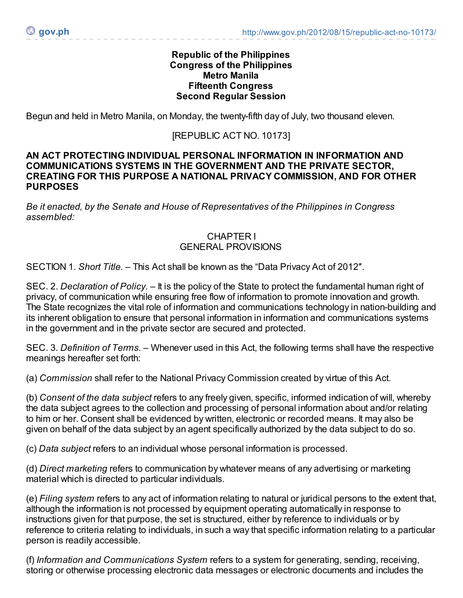### **Republic of the Philippines Congress of the Philippines Metro Manila Fifteenth Congress Second Regular Session**

Begun and held in Metro Manila, on Monday, the twenty-fifth day of July, two thousand eleven.

### [REPUBLIC ACT NO. 10173]

#### **AN ACT PROTECTING INDIVIDUAL PERSONAL INFORMATION IN INFORMATION AND COMMUNICATIONS SYSTEMS IN THE GOVERNMENT AND THE PRIVATE SECTOR, CREATING FOR THIS PURPOSE A NATIONAL PRIVACY COMMISSION, AND FOR OTHER PURPOSES**

*Be it enacted, by the Senate and House of Representatives of the Philippines in Congress assembled:*

### CHAPTER I GENERAL PROVISIONS

SECTION 1*. Short Title. –* This Act shall be known as the "Data Privacy Act of 2012″.

SEC. 2. *Declaration of Policy. –* It is the policy of the State to protect the fundamental human right of privacy, of communication while ensuring free flow of information to promote innovation and growth. The State recognizes the vital role of information and communications technology in nation-building and its inherent obligation to ensure that personal information in information and communications systems in the government and in the private sector are secured and protected.

SEC. 3. *Definition of Terms.* – Whenever used in this Act, the following terms shall have the respective meanings hereafter set forth:

(a) *Commission* shall refer to the National Privacy Commission created by virtue of this Act.

(b) *Consent of the data subject* refers to any freely given, specific, informed indication of will, whereby the data subject agrees to the collection and processing of personal information about and/or relating to him or her. Consent shall be evidenced by written, electronic or recorded means. It may also be given on behalf of the data subject by an agent specifically authorized by the data subject to do so.

(c) *Data subject* refers to an individual whose personal information is processed.

(d) *Direct marketing* refers to communication by whatever means of any advertising or marketing material which is directed to particular individuals.

(e) *Filing system* refers to any act of information relating to natural or juridical persons to the extent that, although the information is not processed by equipment operating automatically in response to instructions given for that purpose, the set is structured, either by reference to individuals or by reference to criteria relating to individuals, in such a way that specific information relating to a particular person is readily accessible.

(f) *Information and Communications System* refers to a system for generating, sending, receiving, storing or otherwise processing electronic data messages or electronic documents and includes the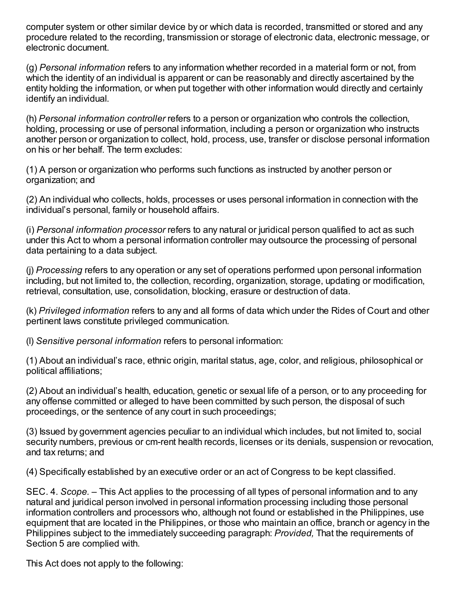computer system or other similar device by or which data is recorded, transmitted or stored and any procedure related to the recording, transmission or storage of electronic data, electronic message, or electronic document.

(g) *Personal information* refers to any information whether recorded in a material form or not, from which the identity of an individual is apparent or can be reasonably and directly ascertained by the entity holding the information, or when put together with other information would directly and certainly identify an individual.

(h) *Personal information controller* refers to a person or organization who controls the collection, holding, processing or use of personal information, including a person or organization who instructs another person or organization to collect, hold, process, use, transfer or disclose personal information on his or her behalf. The term excludes:

(1) A person or organization who performs such functions as instructed by another person or organization; and

(2) An individual who collects, holds, processes or uses personal information in connection with the individual's personal, family or household affairs.

(i) *Personal information processor* refers to any natural or juridical person qualified to act as such under this Act to whom a personal information controller may outsource the processing of personal data pertaining to a data subject.

(j) *Processing* refers to any operation or any set of operations performed upon personal information including, but not limited to, the collection, recording, organization, storage, updating or modification, retrieval, consultation, use, consolidation, blocking, erasure or destruction of data.

(k) *Privileged information* refers to any and all forms of data which under the Rides of Court and other pertinent laws constitute privileged communication.

(l) *Sensitive personal information* refers to personal information:

(1) About an individual's race, ethnic origin, marital status, age, color, and religious, philosophical or political affiliations;

(2) About an individual's health, education, genetic or sexual life of a person, or to any proceeding for any offense committed or alleged to have been committed by such person, the disposal of such proceedings, or the sentence of any court in such proceedings;

(3) Issued by government agencies peculiar to an individual which includes, but not limited to, social security numbers, previous or cm-rent health records, licenses or its denials, suspension or revocation, and tax returns; and

(4) Specifically established by an executive order or an act of Congress to be kept classified.

SEC. 4. *Scope.* – This Act applies to the processing of all types of personal information and to any natural and juridical person involved in personal information processing including those personal information controllers and processors who, although not found or established in the Philippines, use equipment that are located in the Philippines, or those who maintain an office, branch or agency in the Philippines subject to the immediately succeeding paragraph: *Provided,* That the requirements of Section 5 are complied with.

This Act does not apply to the following: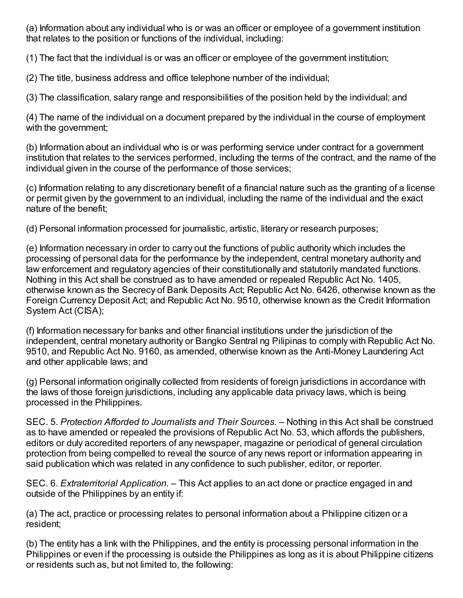(a) Information about any individual who is or was an officer or employee of a government institution that relates to the position or functions of the individual, including:

(1) The fact that the individual is or was an officer or employee of the government institution;

(2) The title, business address and office telephone number of the individual;

(3) The classification, salary range and responsibilities of the position held by the individual; and

(4) The name of the individual on a document prepared by the individual in the course of employment with the government;

(b) Information about an individual who is or was performing service under contract for a government institution that relates to the services performed, including the terms of the contract, and the name of the individual given in the course of the performance of those services;

(c) Information relating to any discretionary benefit of a financial nature such as the granting of a license or permit given by the government to an individual, including the name of the individual and the exact nature of the benefit;

(d) Personal information processed for journalistic, artistic, literary or research purposes;

(e) Information necessary in order to carry out the functions of public authority which includes the processing of personal data for the performance by the independent, central monetary authority and law enforcement and regulatory agencies of their constitutionally and statutorily mandated functions. Nothing in this Act shall be construed as to have amended or repealed Republic Act No. 1405, otherwise known as the Secrecy of Bank Deposits Act; Republic Act No. 6426, otherwise known as the Foreign Currency Deposit Act; and Republic Act No. 9510, otherwise known as the Credit Information System Act (CISA);

(f) Information necessary for banks and other financial institutions under the jurisdiction of the independent, central monetary authority or Bangko Sentral ng Pilipinas to comply with Republic Act No. 9510, and Republic Act No. 9160, as amended, otherwise known as the Anti-Money Laundering Act and other applicable laws; and

(g) Personal information originally collected from residents of foreign jurisdictions in accordance with the laws of those foreign jurisdictions, including any applicable data privacy laws, which is being processed in the Philippines.

SEC. 5. *Protection Afforded to Journalists and Their Sources. –* Nothing in this Act shall be construed as to have amended or repealed the provisions of Republic Act No. 53, which affords the publishers, editors or duly accredited reporters of any newspaper, magazine or periodical of general circulation protection from being compelled to reveal the source of any news report or information appearing in said publication which was related in any confidence to such publisher, editor, or reporter.

SEC. 6. *Extraterritorial Application. –* This Act applies to an act done or practice engaged in and outside of the Philippines by an entity if:

(a) The act, practice or processing relates to personal information about a Philippine citizen or a resident;

(b) The entity has a link with the Philippines, and the entity is processing personal information in the Philippines or even if the processing is outside the Philippines as long as it is about Philippine citizens or residents such as, but not limited to, the following: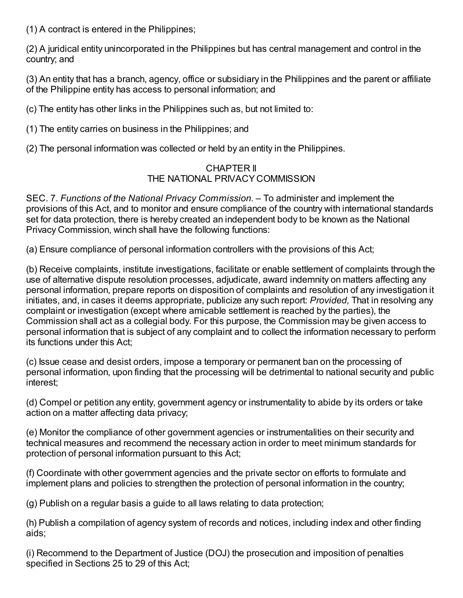(1) A contract is entered in the Philippines;

(2) A juridical entity unincorporated in the Philippines but has central management and control in the country; and

(3) An entity that has a branch, agency, office or subsidiary in the Philippines and the parent or affiliate of the Philippine entity has access to personal information; and

(c) The entity has other links in the Philippines such as, but not limited to:

(1) The entity carries on business in the Philippines; and

(2) The personal information was collected or held by an entity in the Philippines.

## CHAPTER II THE NATIONAL PRIVACY COMMISSION

SEC. 7. *Functions of the National Privacy Commission. –* To administer and implement the provisions of this Act, and to monitor and ensure compliance of the country with international standards set for data protection, there is hereby created an independent body to be known as the National Privacy Commission, winch shall have the following functions:

(a) Ensure compliance of personal information controllers with the provisions of this Act;

(b) Receive complaints, institute investigations, facilitate or enable settlement of complaints through the use of alternative dispute resolution processes, adjudicate, award indemnity on matters affecting any personal information, prepare reports on disposition of complaints and resolution of any investigation it initiates, and, in cases it deems appropriate, publicize any such report: *Provided,* That in resolving any complaint or investigation (except where amicable settlement is reached by the parties), the Commission shall act as a collegial body. For this purpose, the Commission may be given access to personal information that is subject of any complaint and to collect the information necessary to perform its functions under this Act;

(c) Issue cease and desist orders, impose a temporary or permanent ban on the processing of personal information, upon finding that the processing will be detrimental to national security and public interest;

(d) Compel or petition any entity, government agency or instrumentality to abide by its orders or take action on a matter affecting data privacy;

(e) Monitor the compliance of other government agencies or instrumentalities on their security and technical measures and recommend the necessary action in order to meet minimum standards for protection of personal information pursuant to this Act;

(f) Coordinate with other government agencies and the private sector on efforts to formulate and implement plans and policies to strengthen the protection of personal information in the country;

(g) Publish on a regular basis a guide to all laws relating to data protection;

(h) Publish a compilation of agency system of records and notices, including index and other finding aids;

(i) Recommend to the Department of Justice (DOJ) the prosecution and imposition of penalties specified in Sections 25 to 29 of this Act;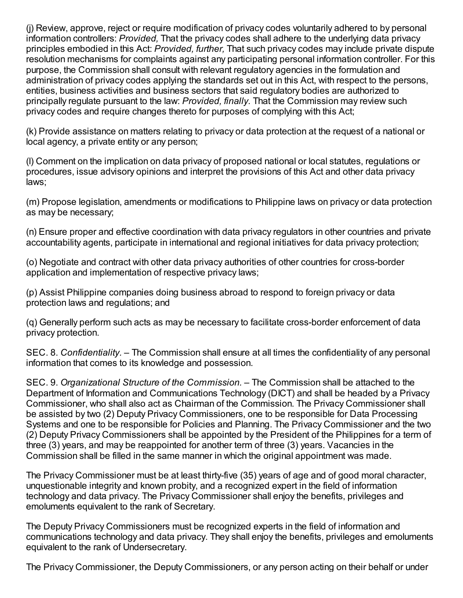(j) Review, approve, reject or require modification of privacy codes voluntarily adhered to by personal information controllers: *Provided,* That the privacy codes shall adhere to the underlying data privacy principles embodied in this Act: *Provided, further,* That such privacy codes may include private dispute resolution mechanisms for complaints against any participating personal information controller. For this purpose, the Commission shall consult with relevant regulatory agencies in the formulation and administration of privacy codes applying the standards set out in this Act, with respect to the persons, entities, business activities and business sectors that said regulatory bodies are authorized to principally regulate pursuant to the law: *Provided, finally.* That the Commission may review such privacy codes and require changes thereto for purposes of complying with this Act;

(k) Provide assistance on matters relating to privacy or data protection at the request of a national or local agency, a private entity or any person;

(l) Comment on the implication on data privacy of proposed national or local statutes, regulations or procedures, issue advisory opinions and interpret the provisions of this Act and other data privacy laws;

(m) Propose legislation, amendments or modifications to Philippine laws on privacy or data protection as may be necessary;

(n) Ensure proper and effective coordination with data privacy regulators in other countries and private accountability agents, participate in international and regional initiatives for data privacy protection;

(o) Negotiate and contract with other data privacy authorities of other countries for cross-border application and implementation of respective privacy laws;

(p) Assist Philippine companies doing business abroad to respond to foreign privacy or data protection laws and regulations; and

(q) Generally perform such acts as may be necessary to facilitate cross-border enforcement of data privacy protection.

SEC. 8. *Confidentiality. –* The Commission shall ensure at all times the confidentiality of any personal information that comes to its knowledge and possession.

SEC. 9. *Organizational Structure of the Commission. –* The Commission shall be attached to the Department of Information and Communications Technology (DICT) and shall be headed by a Privacy Commissioner, who shall also act as Chairman of the Commission. The Privacy Commissioner shall be assisted by two (2) Deputy Privacy Commissioners, one to be responsible for Data Processing Systems and one to be responsible for Policies and Planning. The Privacy Commissioner and the two (2) Deputy Privacy Commissioners shall be appointed by the President of the Philippines for a term of three (3) years, and may be reappointed for another term of three (3) years. Vacancies in the Commission shall be filled in the same manner in which the original appointment was made.

The Privacy Commissioner must be at least thirty-five (35) years of age and of good moral character, unquestionable integrity and known probity, and a recognized expert in the field of information technology and data privacy. The Privacy Commissioner shall enjoy the benefits, privileges and emoluments equivalent to the rank of Secretary.

The Deputy Privacy Commissioners must be recognized experts in the field of information and communications technology and data privacy. They shall enjoy the benefits, privileges and emoluments equivalent to the rank of Undersecretary.

The Privacy Commissioner, the Deputy Commissioners, or any person acting on their behalf or under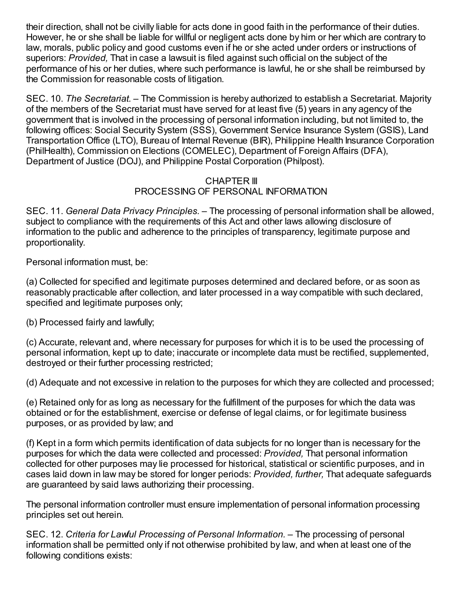their direction, shall not be civilly liable for acts done in good faith in the performance of their duties. However, he or she shall be liable for willful or negligent acts done by him or her which are contrary to law, morals, public policy and good customs even if he or she acted under orders or instructions of superiors: *Provided,* That in case a lawsuit is filed against such official on the subject of the performance of his or her duties, where such performance is lawful, he or she shall be reimbursed by the Commission for reasonable costs of litigation.

SEC. 10. *The Secretariat.* – The Commission is hereby authorized to establish a Secretariat. Majority of the members of the Secretariat must have served for at least five (5) years in any agency of the government that is involved in the processing of personal information including, but not limited to, the following offices: Social Security System (SSS), Government Service Insurance System (GSIS), Land Transportation Office (LTO), Bureau of Internal Revenue (BIR), Philippine Health Insurance Corporation (PhilHealth), Commission on Elections (COMELEC), Department of Foreign Affairs (DFA), Department of Justice (DOJ), and Philippine Postal Corporation (Philpost).

# CHAPTER III PROCESSING OF PERSONAL INFORMATION

SEC. 11. *General Data Privacy Principles.* – The processing of personal information shall be allowed, subject to compliance with the requirements of this Act and other laws allowing disclosure of information to the public and adherence to the principles of transparency, legitimate purpose and proportionality.

Personal information must, be:

(a) Collected for specified and legitimate purposes determined and declared before, or as soon as reasonably practicable after collection, and later processed in a way compatible with such declared, specified and legitimate purposes only;

(b) Processed fairly and lawfully;

(c) Accurate, relevant and, where necessary for purposes for which it is to be used the processing of personal information, kept up to date; inaccurate or incomplete data must be rectified, supplemented, destroyed or their further processing restricted;

(d) Adequate and not excessive in relation to the purposes for which they are collected and processed;

(e) Retained only for as long as necessary for the fulfillment of the purposes for which the data was obtained or for the establishment, exercise or defense of legal claims, or for legitimate business purposes, or as provided by law; and

(f) Kept in a form which permits identification of data subjects for no longer than is necessary for the purposes for which the data were collected and processed: *Provided,* That personal information collected for other purposes may lie processed for historical, statistical or scientific purposes, and in cases laid down in law may be stored for longer periods: *Provided, further,* That adequate safeguards are guaranteed by said laws authorizing their processing.

The personal information controller must ensure implementation of personal information processing principles set out herein.

SEC. 12. *Criteria for Lawful Processing of Personal Information.* – The processing of personal information shall be permitted only if not otherwise prohibited by law, and when at least one of the following conditions exists: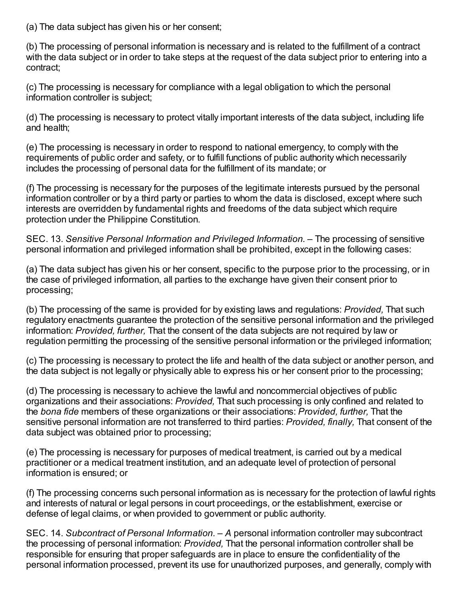(a) The data subject has given his or her consent;

(b) The processing of personal information is necessary and is related to the fulfillment of a contract with the data subject or in order to take steps at the request of the data subject prior to entering into a contract;

(c) The processing is necessary for compliance with a legal obligation to which the personal information controller is subject;

(d) The processing is necessary to protect vitally important interests of the data subject, including life and health;

(e) The processing is necessary in order to respond to national emergency, to comply with the requirements of public order and safety, or to fulfill functions of public authority which necessarily includes the processing of personal data for the fulfillment of its mandate; or

(f) The processing is necessary for the purposes of the legitimate interests pursued by the personal information controller or by a third party or parties to whom the data is disclosed, except where such interests are overridden by fundamental rights and freedoms of the data subject which require protection under the Philippine Constitution.

SEC. 13. *Sensitive Personal Information and Privileged Information.* – The processing of sensitive personal information and privileged information shall be prohibited, except in the following cases:

(a) The data subject has given his or her consent, specific to the purpose prior to the processing, or in the case of privileged information, all parties to the exchange have given their consent prior to processing;

(b) The processing of the same is provided for by existing laws and regulations: *Provided,* That such regulatory enactments guarantee the protection of the sensitive personal information and the privileged information: *Provided, further,* That the consent of the data subjects are not required by law or regulation permitting the processing of the sensitive personal information or the privileged information;

(c) The processing is necessary to protect the life and health of the data subject or another person, and the data subject is not legally or physically able to express his or her consent prior to the processing;

(d) The processing is necessary to achieve the lawful and noncommercial objectives of public organizations and their associations: *Provided,* That such processing is only confined and related to the *bona fide* members of these organizations or their associations: *Provided, further,* That the sensitive personal information are not transferred to third parties: *Provided, finally,* That consent of the data subject was obtained prior to processing;

(e) The processing is necessary for purposes of medical treatment, is carried out by a medical practitioner or a medical treatment institution, and an adequate level of protection of personal information is ensured; or

(f) The processing concerns such personal information as is necessary for the protection of lawful rights and interests of natural or legal persons in court proceedings, or the establishment, exercise or defense of legal claims, or when provided to government or public authority.

SEC. 14. *Subcontract of Personal Information. – A* personal information controller may subcontract the processing of personal information: *Provided,* That the personal information controller shall be responsible for ensuring that proper safeguards are in place to ensure the confidentiality of the personal information processed, prevent its use for unauthorized purposes, and generally, comply with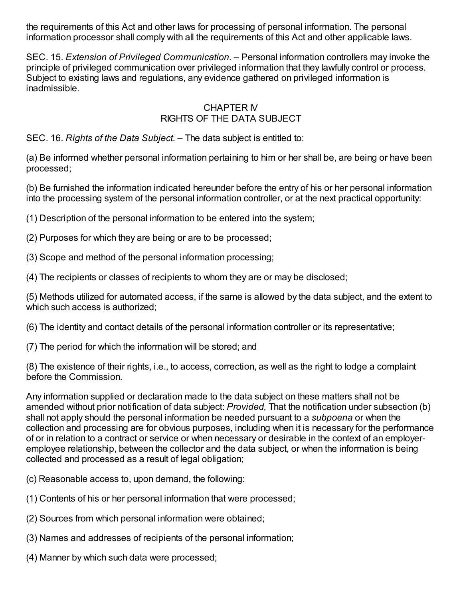the requirements of this Act and other laws for processing of personal information. The personal information processor shall comply with all the requirements of this Act and other applicable laws.

SEC. 15. *Extension of Privileged Communication. –* Personal information controllers may invoke the principle of privileged communication over privileged information that they lawfully control or process. Subject to existing laws and regulations, any evidence gathered on privileged information is inadmissible.

# CHAPTER IV RIGHTS OF THE DATA SUBJECT

SEC. 16. *Rights of the Data Subject.* – The data subject is entitled to:

(a) Be informed whether personal information pertaining to him or her shall be, are being or have been processed;

(b) Be furnished the information indicated hereunder before the entry of his or her personal information into the processing system of the personal information controller, or at the next practical opportunity:

(1) Description of the personal information to be entered into the system;

(2) Purposes for which they are being or are to be processed;

(3) Scope and method of the personal information processing;

(4) The recipients or classes of recipients to whom they are or may be disclosed;

(5) Methods utilized for automated access, if the same is allowed by the data subject, and the extent to which such access is authorized;

(6) The identity and contact details of the personal information controller or its representative;

(7) The period for which the information will be stored; and

(8) The existence of their rights, i.e., to access, correction, as well as the right to lodge a complaint before the Commission.

Any information supplied or declaration made to the data subject on these matters shall not be amended without prior notification of data subject: *Provided,* That the notification under subsection (b) shall not apply should the personal information be needed pursuant to a *subpoena* or when the collection and processing are for obvious purposes, including when it is necessary for the performance of or in relation to a contract or service or when necessary or desirable in the context of an employeremployee relationship, between the collector and the data subject, or when the information is being collected and processed as a result of legal obligation;

(c) Reasonable access to, upon demand, the following:

(1) Contents of his or her personal information that were processed;

- (2) Sources from which personal information were obtained;
- (3) Names and addresses of recipients of the personal information;
- (4) Manner by which such data were processed;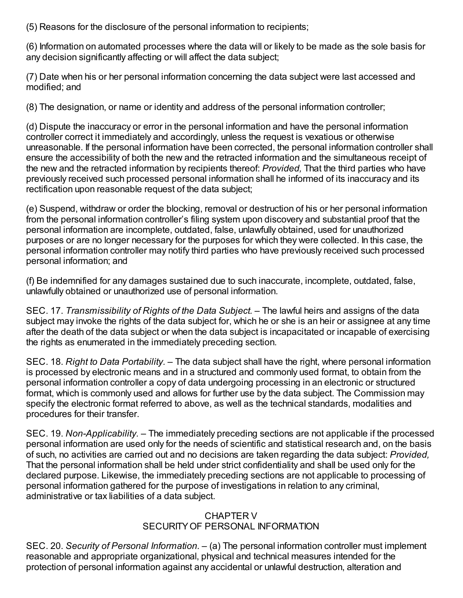(5) Reasons for the disclosure of the personal information to recipients;

(6) Information on automated processes where the data will or likely to be made as the sole basis for any decision significantly affecting or will affect the data subject;

(7) Date when his or her personal information concerning the data subject were last accessed and modified; and

(8) The designation, or name or identity and address of the personal information controller;

(d) Dispute the inaccuracy or error in the personal information and have the personal information controller correct it immediately and accordingly, unless the request is vexatious or otherwise unreasonable. If the personal information have been corrected, the personal information controller shall ensure the accessibility of both the new and the retracted information and the simultaneous receipt of the new and the retracted information by recipients thereof: *Provided,* That the third parties who have previously received such processed personal information shall he informed of its inaccuracy and its rectification upon reasonable request of the data subject;

(e) Suspend, withdraw or order the blocking, removal or destruction of his or her personal information from the personal information controller's filing system upon discovery and substantial proof that the personal information are incomplete, outdated, false, unlawfully obtained, used for unauthorized purposes or are no longer necessary for the purposes for which they were collected. In this case, the personal information controller may notify third parties who have previously received such processed personal information; and

(f) Be indemnified for any damages sustained due to such inaccurate, incomplete, outdated, false, unlawfully obtained or unauthorized use of personal information.

SEC. 17. *Transmissibility of Rights of the Data Subject. –* The lawful heirs and assigns of the data subject may invoke the rights of the data subject for, which he or she is an heir or assignee at any time after the death of the data subject or when the data subject is incapacitated or incapable of exercising the rights as enumerated in the immediately preceding section.

SEC. 18. *Right to Data Portability. –* The data subject shall have the right, where personal information is processed by electronic means and in a structured and commonly used format, to obtain from the personal information controller a copy of data undergoing processing in an electronic or structured format, which is commonly used and allows for further use by the data subject. The Commission may specify the electronic format referred to above, as well as the technical standards, modalities and procedures for their transfer.

SEC. 19. *Non-Applicability.* – The immediately preceding sections are not applicable if the processed personal information are used only for the needs of scientific and statistical research and, on the basis of such, no activities are carried out and no decisions are taken regarding the data subject: *Provided,* That the personal information shall be held under strict confidentiality and shall be used only for the declared purpose. Likewise, the immediately preceding sections are not applicable to processing of personal information gathered for the purpose of investigations in relation to any criminal, administrative or tax liabilities of a data subject.

### CHAPTER V SECURITY OF PERSONAL INFORMATION

SEC. 20. *Security of Personal Information.* – (a) The personal information controller must implement reasonable and appropriate organizational, physical and technical measures intended for the protection of personal information against any accidental or unlawful destruction, alteration and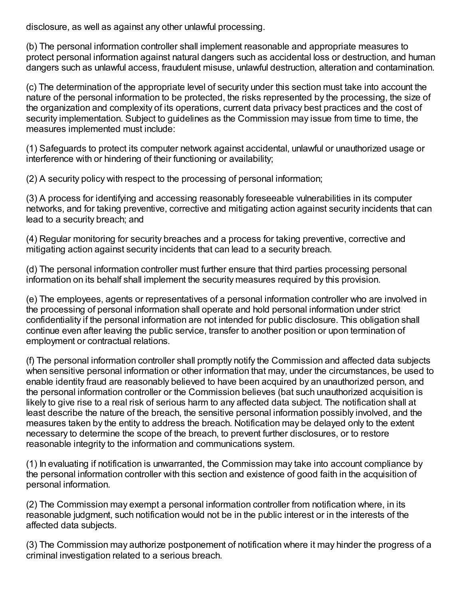disclosure, as well as against any other unlawful processing.

(b) The personal information controller shall implement reasonable and appropriate measures to protect personal information against natural dangers such as accidental loss or destruction, and human dangers such as unlawful access, fraudulent misuse, unlawful destruction, alteration and contamination.

(c) The determination of the appropriate level of security under this section must take into account the nature of the personal information to be protected, the risks represented by the processing, the size of the organization and complexity of its operations, current data privacy best practices and the cost of security implementation. Subject to guidelines as the Commission may issue from time to time, the measures implemented must include:

(1) Safeguards to protect its computer network against accidental, unlawful or unauthorized usage or interference with or hindering of their functioning or availability;

(2) A security policy with respect to the processing of personal information;

(3) A process for identifying and accessing reasonably foreseeable vulnerabilities in its computer networks, and for taking preventive, corrective and mitigating action against security incidents that can lead to a security breach; and

(4) Regular monitoring for security breaches and a process for taking preventive, corrective and mitigating action against security incidents that can lead to a security breach.

(d) The personal information controller must further ensure that third parties processing personal information on its behalf shall implement the security measures required by this provision.

(e) The employees, agents or representatives of a personal information controller who are involved in the processing of personal information shall operate and hold personal information under strict confidentiality if the personal information are not intended for public disclosure. This obligation shall continue even after leaving the public service, transfer to another position or upon termination of employment or contractual relations.

(f) The personal information controller shall promptly notify the Commission and affected data subjects when sensitive personal information or other information that may, under the circumstances, be used to enable identity fraud are reasonably believed to have been acquired by an unauthorized person, and the personal information controller or the Commission believes (bat such unauthorized acquisition is likely to give rise to a real risk of serious harm to any affected data subject. The notification shall at least describe the nature of the breach, the sensitive personal information possibly involved, and the measures taken by the entity to address the breach. Notification may be delayed only to the extent necessary to determine the scope of the breach, to prevent further disclosures, or to restore reasonable integrity to the information and communications system.

(1) In evaluating if notification is unwarranted, the Commission may take into account compliance by the personal information controller with this section and existence of good faith in the acquisition of personal information.

(2) The Commission may exempt a personal information controller from notification where, in its reasonable judgment, such notification would not be in the public interest or in the interests of the affected data subjects.

(3) The Commission may authorize postponement of notification where it may hinder the progress of a criminal investigation related to a serious breach.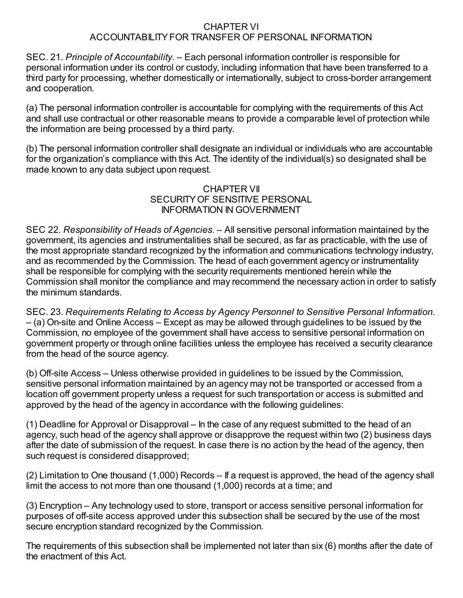#### CHAPTER VI ACCOUNTABILITY FOR TRANSFER OF PERSONAL INFORMATION

SEC. 21. *Principle of Accountability. –* Each personal information controller is responsible for personal information under its control or custody, including information that have been transferred to a third party for processing, whether domestically or internationally, subject to cross-border arrangement and cooperation.

(a) The personal information controller is accountable for complying with the requirements of this Act and shall use contractual or other reasonable means to provide a comparable level of protection while the information are being processed by a third party.

(b) The personal information controller shall designate an individual or individuals who are accountable for the organization's compliance with this Act. The identity of the individual(s) so designated shall be made known to any data subject upon request.

### CHAPTER VII SECURITY OF SENSITIVE PERSONAL INFORMATION IN GOVERNMENT

SEC 22. *Responsibility of Heads of Agencies.* – All sensitive personal information maintained by the government, its agencies and instrumentalities shall be secured, as far as practicable, with the use of the most appropriate standard recognized by the information and communications technology industry, and as recommended by the Commission. The head of each government agency or instrumentality shall be responsible for complying with the security requirements mentioned herein while the Commission shall monitor the compliance and may recommend the necessary action in order to satisfy the minimum standards.

SEC. 23. *Requirements Relating to Access by Agency Personnel to Sensitive Personal Information. –* (a) On-site and Online Access – Except as may be allowed through guidelines to be issued by the Commission, no employee of the government shall have access to sensitive personal information on government property or through online facilities unless the employee has received a security clearance from the head of the source agency.

(b) Off-site Access – Unless otherwise provided in guidelines to be issued by the Commission, sensitive personal information maintained by an agency may not be transported or accessed from a location off government property unless a request for such transportation or access is submitted and approved by the head of the agency in accordance with the following guidelines:

(1) Deadline for Approval or Disapproval – In the case of any request submitted to the head of an agency, such head of the agency shall approve or disapprove the request within two (2) business days after the date of submission of the request. In case there is no action by the head of the agency, then such request is considered disapproved;

(2) Limitation to One thousand (1,000) Records – If a request is approved, the head of the agency shall limit the access to not more than one thousand (1,000) records at a time; and

(3) Encryption – Any technology used to store, transport or access sensitive personal information for purposes of off-site access approved under this subsection shall be secured by the use of the most secure encryption standard recognized by the Commission.

The requirements of this subsection shall be implemented not later than six (6) months after the date of the enactment of this Act.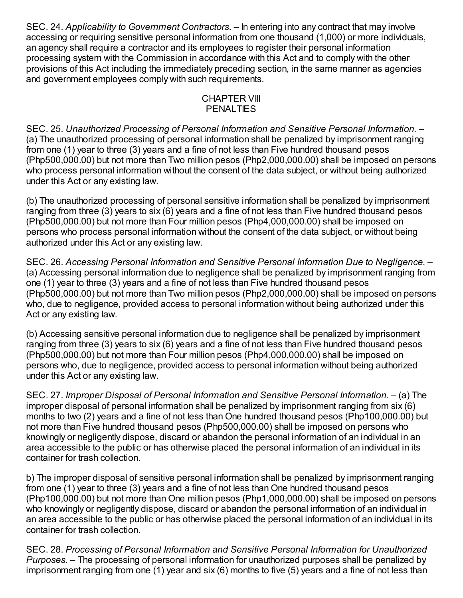SEC. 24. *Applicability to Government Contractors.* – In entering into any contract that may involve accessing or requiring sensitive personal information from one thousand (1,000) or more individuals, an agency shall require a contractor and its employees to register their personal information processing system with the Commission in accordance with this Act and to comply with the other provisions of this Act including the immediately preceding section, in the same manner as agencies and government employees comply with such requirements.

### CHAPTER VIII **PENALTIES**

SEC. 25. *Unauthorized Processing of Personal Information and Sensitive Personal Information. –* (a) The unauthorized processing of personal information shall be penalized by imprisonment ranging from one (1) year to three (3) years and a fine of not less than Five hundred thousand pesos (Php500,000.00) but not more than Two million pesos (Php2,000,000.00) shall be imposed on persons who process personal information without the consent of the data subject, or without being authorized under this Act or any existing law.

(b) The unauthorized processing of personal sensitive information shall be penalized by imprisonment ranging from three (3) years to six (6) years and a fine of not less than Five hundred thousand pesos (Php500,000.00) but not more than Four million pesos (Php4,000,000.00) shall be imposed on persons who process personal information without the consent of the data subject, or without being authorized under this Act or any existing law.

SEC. 26. *Accessing Personal Information and Sensitive Personal Information Due to Negligence.* – (a) Accessing personal information due to negligence shall be penalized by imprisonment ranging from one (1) year to three (3) years and a fine of not less than Five hundred thousand pesos (Php500,000.00) but not more than Two million pesos (Php2,000,000.00) shall be imposed on persons who, due to negligence, provided access to personal information without being authorized under this Act or any existing law.

(b) Accessing sensitive personal information due to negligence shall be penalized by imprisonment ranging from three (3) years to six (6) years and a fine of not less than Five hundred thousand pesos (Php500,000.00) but not more than Four million pesos (Php4,000,000.00) shall be imposed on persons who, due to negligence, provided access to personal information without being authorized under this Act or any existing law.

SEC. 27. *Improper Disposal of Personal Information and Sensitive Personal Information. –* (a) The improper disposal of personal information shall be penalized by imprisonment ranging from six (6) months to two (2) years and a fine of not less than One hundred thousand pesos (Php100,000.00) but not more than Five hundred thousand pesos (Php500,000.00) shall be imposed on persons who knowingly or negligently dispose, discard or abandon the personal information of an individual in an area accessible to the public or has otherwise placed the personal information of an individual in its container for trash collection.

b) The improper disposal of sensitive personal information shall be penalized by imprisonment ranging from one (1) year to three (3) years and a fine of not less than One hundred thousand pesos (Php100,000.00) but not more than One million pesos (Php1,000,000.00) shall be imposed on persons who knowingly or negligently dispose, discard or abandon the personal information of an individual in an area accessible to the public or has otherwise placed the personal information of an individual in its container for trash collection.

SEC. 28. *Processing of Personal Information and Sensitive Personal Information for Unauthorized Purposes. –* The processing of personal information for unauthorized purposes shall be penalized by imprisonment ranging from one (1) year and six (6) months to five (5) years and a fine of not less than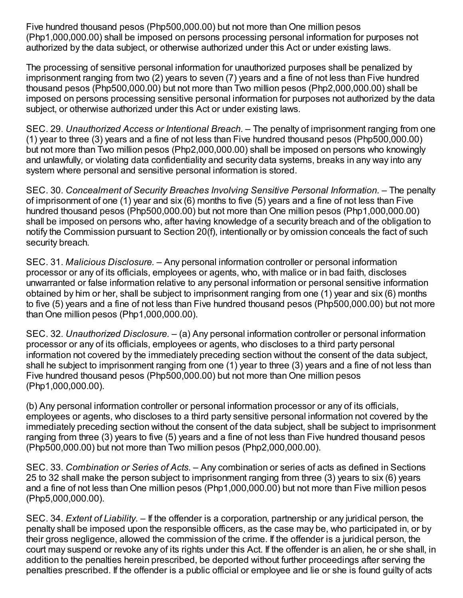Five hundred thousand pesos (Php500,000.00) but not more than One million pesos (Php1,000,000.00) shall be imposed on persons processing personal information for purposes not authorized by the data subject, or otherwise authorized under this Act or under existing laws.

The processing of sensitive personal information for unauthorized purposes shall be penalized by imprisonment ranging from two (2) years to seven (7) years and a fine of not less than Five hundred thousand pesos (Php500,000.00) but not more than Two million pesos (Php2,000,000.00) shall be imposed on persons processing sensitive personal information for purposes not authorized by the data subject, or otherwise authorized under this Act or under existing laws.

SEC. 29. *Unauthorized Access or Intentional Breach. –* The penalty of imprisonment ranging from one (1) year to three (3) years and a fine of not less than Five hundred thousand pesos (Php500,000.00) but not more than Two million pesos (Php2,000,000.00) shall be imposed on persons who knowingly and unlawfully, or violating data confidentiality and security data systems, breaks in any way into any system where personal and sensitive personal information is stored.

SEC. 30. *Concealment of Security Breaches Involving Sensitive Personal Information. –* The penalty of imprisonment of one (1) year and six (6) months to five (5) years and a fine of not less than Five hundred thousand pesos (Php500,000.00) but not more than One million pesos (Php1,000,000.00) shall be imposed on persons who, after having knowledge of a security breach and of the obligation to notify the Commission pursuant to Section 20(f), intentionally or by omission conceals the fact of such security breach.

SEC. 31. *Malicious Disclosure. –* Any personal information controller or personal information processor or any of its officials, employees or agents, who, with malice or in bad faith, discloses unwarranted or false information relative to any personal information or personal sensitive information obtained by him or her, shall be subject to imprisonment ranging from one (1) year and six (6) months to five (5) years and a fine of not less than Five hundred thousand pesos (Php500,000.00) but not more than One million pesos (Php1,000,000.00).

SEC. 32. *Unauthorized Disclosure. –* (a) Any personal information controller or personal information processor or any of its officials, employees or agents, who discloses to a third party personal information not covered by the immediately preceding section without the consent of the data subject, shall he subject to imprisonment ranging from one (1) year to three (3) years and a fine of not less than Five hundred thousand pesos (Php500,000.00) but not more than One million pesos (Php1,000,000.00).

(b) Any personal information controller or personal information processor or any of its officials, employees or agents, who discloses to a third party sensitive personal information not covered by the immediately preceding section without the consent of the data subject, shall be subject to imprisonment ranging from three (3) years to five (5) years and a fine of not less than Five hundred thousand pesos (Php500,000.00) but not more than Two million pesos (Php2,000,000.00).

SEC. 33. *Combination or Series of Acts. –* Any combination or series of acts as defined in Sections 25 to 32 shall make the person subject to imprisonment ranging from three (3) years to six (6) years and a fine of not less than One million pesos (Php1,000,000.00) but not more than Five million pesos (Php5,000,000.00).

SEC. 34. *Extent of Liability.* – If the offender is a corporation, partnership or any juridical person, the penalty shall be imposed upon the responsible officers, as the case may be, who participated in, or by their gross negligence, allowed the commission of the crime. If the offender is a juridical person, the court may suspend or revoke any of its rights under this Act. If the offender is an alien, he or she shall, in addition to the penalties herein prescribed, be deported without further proceedings after serving the penalties prescribed. If the offender is a public official or employee and lie or she is found guilty of acts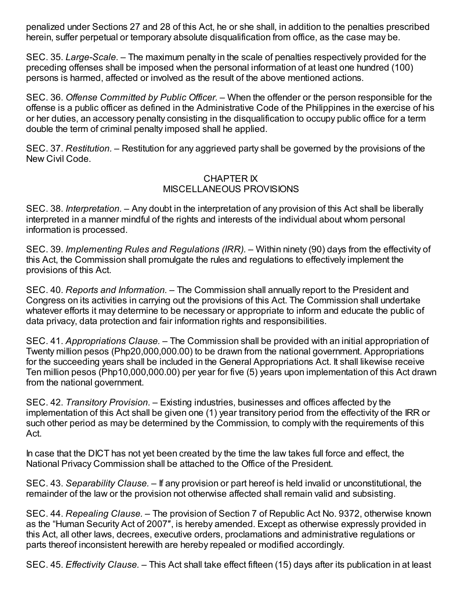penalized under Sections 27 and 28 of this Act, he or she shall, in addition to the penalties prescribed herein, suffer perpetual or temporary absolute disqualification from office, as the case may be.

SEC. 35. *Large-Scale. –* The maximum penalty in the scale of penalties respectively provided for the preceding offenses shall be imposed when the personal information of at least one hundred (100) persons is harmed, affected or involved as the result of the above mentioned actions.

SEC. 36. *Offense Committed by Public Officer. –* When the offender or the person responsible for the offense is a public officer as defined in the Administrative Code of the Philippines in the exercise of his or her duties, an accessory penalty consisting in the disqualification to occupy public office for a term double the term of criminal penalty imposed shall he applied.

SEC. 37. *Restitution. –* Restitution for any aggrieved party shall be governed by the provisions of the New Civil Code.

### CHAPTER IX MISCELLANEOUS PROVISIONS

SEC. 38. *Interpretation. –* Any doubt in the interpretation of any provision of this Act shall be liberally interpreted in a manner mindful of the rights and interests of the individual about whom personal information is processed.

SEC. 39. *Implementing Rules and Regulations (IRR).* – Within ninety (90) days from the effectivity of this Act, the Commission shall promulgate the rules and regulations to effectively implement the provisions of this Act.

SEC. 40. *Reports and Information.* – The Commission shall annually report to the President and Congress on its activities in carrying out the provisions of this Act. The Commission shall undertake whatever efforts it may determine to be necessary or appropriate to inform and educate the public of data privacy, data protection and fair information rights and responsibilities.

SEC. 41. *Appropriations Clause. –* The Commission shall be provided with an initial appropriation of Twenty million pesos (Php20,000,000.00) to be drawn from the national government. Appropriations for the succeeding years shall be included in the General Appropriations Act. It shall likewise receive Ten million pesos (Php10,000,000.00) per year for five (5) years upon implementation of this Act drawn from the national government.

SEC. 42. *Transitory Provision.* – Existing industries, businesses and offices affected by the implementation of this Act shall be given one (1) year transitory period from the effectivity of the IRR or such other period as may be determined by the Commission, to comply with the requirements of this Act.

In case that the DICT has not yet been created by the time the law takes full force and effect, the National Privacy Commission shall be attached to the Office of the President.

SEC. 43. *Separability Clause. –* If any provision or part hereof is held invalid or unconstitutional, the remainder of the law or the provision not otherwise affected shall remain valid and subsisting.

SEC. 44. *Repealing Clause. –* The provision of Section 7 of Republic Act No. 9372, otherwise known as the "Human Security Act of 2007″, is hereby amended. Except as otherwise expressly provided in this Act, all other laws, decrees, executive orders, proclamations and administrative regulations or parts thereof inconsistent herewith are hereby repealed or modified accordingly.

SEC. 45. *Effectivity Clause. –* This Act shall take effect fifteen (15) days after its publication in at least